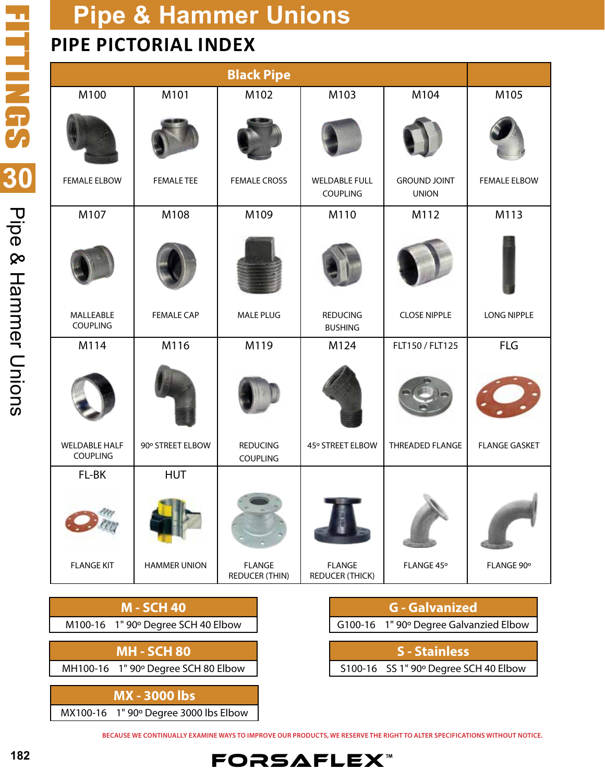## **PIPE PICTORIAL INDEX**

|                                                                                                                                                           |                     | <b>Black Pipe</b>                      |                                         |                     |                      |
|-----------------------------------------------------------------------------------------------------------------------------------------------------------|---------------------|----------------------------------------|-----------------------------------------|---------------------|----------------------|
| M100                                                                                                                                                      | M101                | M102                                   | M103                                    | M104                | M105                 |
| <b>FEMALE ELBOW</b>                                                                                                                                       | <b>FEMALE TEE</b>   | <b>FEMALE CROSS</b>                    | <b>WELDABLE FULL</b>                    | <b>GROUND JOINT</b> | <b>FEMALE ELBOW</b>  |
|                                                                                                                                                           |                     |                                        | COUPLING                                | <b>UNION</b>        |                      |
| M107                                                                                                                                                      | M108                | M109                                   | M110                                    | M112                | M113                 |
|                                                                                                                                                           |                     |                                        |                                         |                     |                      |
| MALLEABLE<br>COUPLING                                                                                                                                     | <b>FEMALE CAP</b>   | MALE PLUG                              | <b>REDUCING</b><br><b>BUSHING</b>       | <b>CLOSE NIPPLE</b> | LONG NIPPLE          |
| M114                                                                                                                                                      | M116                | M119                                   | M124                                    | FLT150 / FLT125     | <b>FLG</b>           |
|                                                                                                                                                           |                     |                                        |                                         |                     |                      |
| <b>WELDABLE HALF</b><br>COUPLING                                                                                                                          | 90° STREET ELBOW    | <b>REDUCING</b><br>COUPLING            | 45° STREET ELBOW                        | THREADED FLANGE     | <b>FLANGE GASKET</b> |
| FL-BK                                                                                                                                                     | <b>HUT</b>          |                                        |                                         |                     |                      |
|                                                                                                                                                           |                     |                                        |                                         |                     |                      |
| <b>FLANGE KIT</b>                                                                                                                                         | <b>HAMMER UNION</b> | <b>FLANGE</b><br><b>REDUCER (THIN)</b> | <b>FLANGE</b><br><b>REDUCER (THICK)</b> | FLANGE 45°          | FLANGE 90°           |
|                                                                                                                                                           |                     |                                        |                                         |                     |                      |
| <b>M-SCH 40</b><br><b>G</b> - Galvanized<br>$M10016$ $15$ $1$ " $000$ Degree CCH A0 Elbew<br>$C10016$ $1^{\circ}$ $1^{\circ}$ 000 Degree Calvanzied Elbev |                     |                                        |                                         |                     |                      |

| M100-16 1" 90° Degree SCH 40 Elbow |
|------------------------------------|
|------------------------------------|

**MH - SCH 80**

MH100-16 1" 90º Degree SCH 80 Elbow

**MX - 3000 lbs** MX100-16 1" 90º Degree 3000 lbs Elbow

|                      | G100-16 1" 90° Degree Galvanzied Elbow |  |
|----------------------|----------------------------------------|--|
|                      |                                        |  |
| <b>S</b> - Stainless |                                        |  |

S100-16 SS 1" 90º Degree SCH 40 Elbow

**BECAUSE WE CONTINUALLY EXAMINE WAYS TO IMPROVE OUR PRODUCTS, WE RESERVE THE RIGHT TO ALTER SPECIFICATIONS WITHOUT NOTICE.**

**FORSAFLEX**™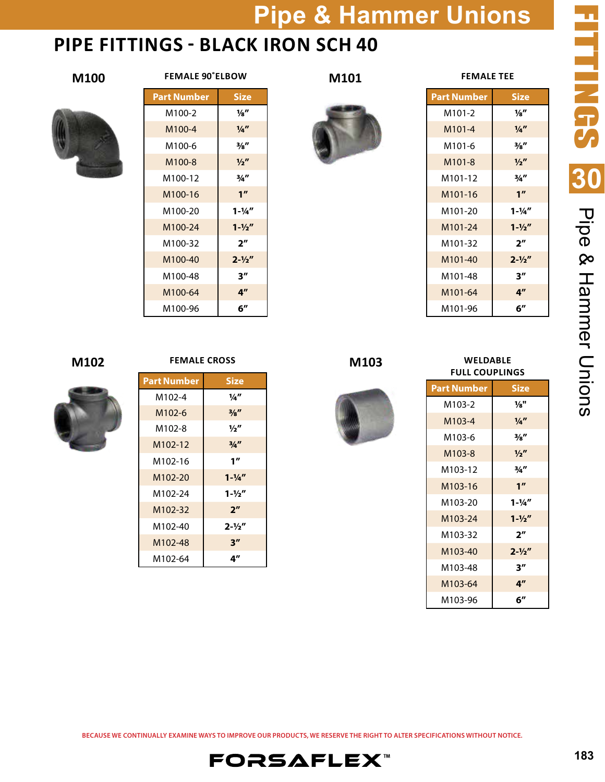### **PIPE FITTINGS - BLACK IRON SCH 40**





### **FEMALE 90˚ELBOW**





**M101**

| Size               | <b>Part Number</b>   |
|--------------------|----------------------|
| 1⁄8″               | M101-2               |
| $\frac{1}{4}$      | M <sub>101-4</sub>   |
| $\frac{3}{8}$ "    | M101-6               |
| $\frac{1}{2}$      | M <sub>101-8</sub>   |
| 3/4''              | M101-12              |
| 1 <sup>''</sup>    | M <sub>101</sub> -16 |
| $1 - \frac{1}{4}$  | M101-20              |
| $1 - \frac{1}{2}$  | M101-24              |
| $2^{\prime\prime}$ | M101-32              |
| $2 - \frac{1}{2}$  | M <sub>101</sub> -40 |
| 3″                 | M101-48              |
| 4 <sup>''</sup>    | M101-64              |
| 6″                 | M101-96              |

**FEMALE TEE**

**FITTINGS TTTNGS 30** Pipe & Hammer Chions Pipe & Hammer Unions



### **FEMALE CROSS**

| <b>Part Number</b>  | <b>Size</b>       |
|---------------------|-------------------|
| M102-4              | 1/4"              |
| M <sub>102-6</sub>  | $\frac{3}{8}$     |
| M102-8              | $\frac{1}{2}$     |
| M102-12             | 3/4''             |
| M102-16             | 1''               |
| M <sub>102-20</sub> | $1 - \frac{1}{4}$ |
| M102-24             | $1 - \frac{1}{2}$ |
| M <sub>102-32</sub> | 2 <sup>n</sup>    |
| M102-40             | $2 - \frac{1}{2}$ |
| M102-48             | 3''               |
| M102-64             | 4″                |

### **M103**



### **M102 M102 PEMALE CROSS M103 WELDABLE FULL COUPLINGS**

| <b>Part Number</b> | <b>Size</b>       |
|--------------------|-------------------|
| M103-2             | 1⁄8"              |
| M103-4             | $\frac{1}{4}$     |
| M103-6             | $\frac{3}{8}$ "   |
| M103-8             | $\frac{1}{2}$     |
| M103-12            | 3/4''             |
| M103-16            | 1 <sup>''</sup>   |
| M103-20            | $1 - \frac{1}{4}$ |
| M103-24            | $1 - \frac{1}{2}$ |
| M103-32            | 2″                |
| M103-40            | $2 - \frac{1}{2}$ |
| M103-48            | 3''               |
| M103-64            | 4"                |
| M103-96            | 6″                |

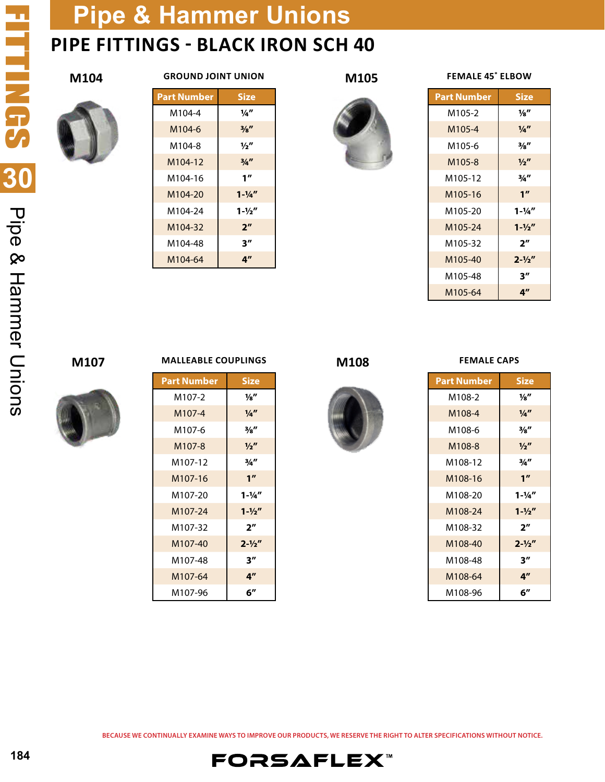## **Pipe & Hammer Unions PIPE FITTINGS - BLACK IRON SCH 40**

### **M104**



| <b>GROUND JOINT UNION</b> |  |
|---------------------------|--|
|---------------------------|--|

| Part Number | <b>Size</b>       |
|-------------|-------------------|
| M104-4      | 1/4"              |
| M104-6      | $\frac{3}{8}$     |
| M104-8      | $\frac{1}{2}$     |
| M104-12     | 3/4               |
| M104-16     | 1 <sup>''</sup>   |
| M104-20     | $1 - \frac{1}{4}$ |
| M104-24     | $1 - \frac{1}{2}$ |
| M104-32     | 2 <sup>n</sup>    |
| M104-48     | 3''               |
| M104-64     | 4″                |





| <b>FEMALE 45° ELBOW</b> |                    |  |
|-------------------------|--------------------|--|
| <b>Part Number</b>      | <b>Size</b>        |  |
| M105-2                  | 1⁄8″               |  |
| M105-4                  | $\frac{1}{4}$      |  |
| M105-6                  | $\frac{3}{8}$ "    |  |
| M105-8                  | $\frac{1}{2}$      |  |
| M105-12                 | 3/4''              |  |
| M105-16                 | 1 <sup>''</sup>    |  |
| M105-20                 | $1 - \frac{1}{4}$  |  |
| M105-24                 | $1 - \frac{1}{2}$  |  |
| M105-32                 | 2 <sup>n</sup>     |  |
| M105-40                 | $2 - \frac{1}{2}$  |  |
| M105-48                 | $3^{\prime\prime}$ |  |
| M105-64                 | 4"                 |  |

### **M107**



### **MALLEABLE COUPLINGS M108**

| <b>Part Number</b> | <b>Size</b>       |
|--------------------|-------------------|
| M107-2             | 1⁄8″              |
| M107-4             | $\frac{1}{4}$     |
| M107-6             | $\frac{3}{8}$ "   |
| M <sub>107-8</sub> | $\frac{1}{2}$     |
| M107-12            | 3/4''             |
| M107-16            | 1 <sup>n</sup>    |
| M107-20            | $1 - \frac{1}{4}$ |
| M107-24            | $1 - \frac{1}{2}$ |
| M107-32            | 2 <sup>n</sup>    |
| M107-40            | $2 - \frac{1}{2}$ |
| M107-48            | 3''               |
| M107-64            | 4″                |
| M107-96            | 6″                |



#### **FEMALE CAPS**

| <b>Part Number</b> | <b>Size</b>       |
|--------------------|-------------------|
| M108-2             | $\frac{1}{8}$     |
| M108-4             | $\frac{1}{4}$     |
| M108-6             | 3/8″              |
| M108-8             | $\frac{1}{2}$     |
| M108-12            | 3/4''             |
| M108-16            | 1 <sup>''</sup>   |
| M108-20            | $1 - \frac{1}{4}$ |
| M108-24            | $1 - \frac{1}{2}$ |
| M108-32            | 2 <sup>''</sup>   |
| M108-40            | $2 - \frac{1}{2}$ |
| M108-48            | 3''               |
| M108-64            | 4″                |
| M108-96            | 6″                |

**BECAUSE WE CONTINUALLY EXAMINE WAYS TO IMPROVE OUR PRODUCTS, WE RESERVE THE RIGHT TO ALTER SPECIFICATIONS WITHOUT NOTICE.**

**FORSAFLEX**™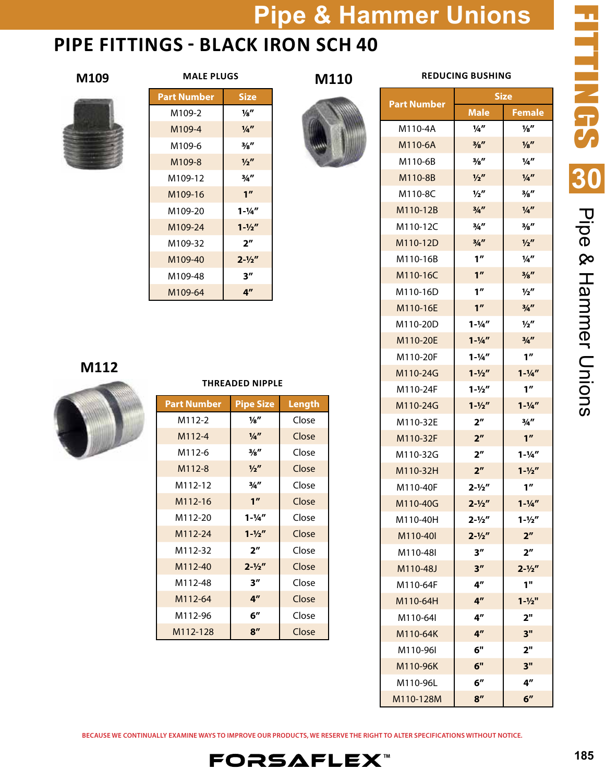**M110**

## **PIPE FITTINGS - BLACK IRON SCH 40**



| <b>MALE PLUGS</b> |  |
|-------------------|--|
|                   |  |

| Part Number | <b>Size</b>       |
|-------------|-------------------|
| M109-2      | 1⁄8″              |
| M109-4      | $\frac{1}{4}$     |
| M109-6      | $\frac{3}{8}$ "   |
| M109-8      | $\frac{1}{2}$     |
| M109-12     | 3/4″              |
| M109-16     | 1 <sup>''</sup>   |
| M109-20     | $1 - \frac{1}{4}$ |
| M109-24     | $1 - \frac{1}{2}$ |
| M109-32     | 2 <sup>''</sup>   |
| M109-40     | $2 - \frac{1}{2}$ |
| M109-48     | 3''               |
| M109-64     | 4″                |

### **M112**



| <b>Part Number</b> | <b>Pipe Size</b>  | Length |
|--------------------|-------------------|--------|
| M112-2             | 1⁄8″              | Close  |
| M112-4             | $\frac{1}{4}$     | Close  |
| M112-6             | $\frac{3}{8}$     | Close  |
| M112-8             | $\frac{1}{2}$     | Close  |
| M112-12            | 3/4''             | Close  |
| M112-16            | 1 <sup>''</sup>   | Close  |
| M112-20            | $1 - \frac{1}{4}$ | Close  |
| M112-24            | $1 - \frac{1}{2}$ | Close  |
| M112-32            | 2 <sup>n</sup>    | Close  |
| M112-40            | $2 - \frac{1}{2}$ | Close  |
| M112-48            | 3 <sup>''</sup>   | Close  |
| M112-64            | 4 <sup>''</sup>   | Close  |
| M112-96            | 6"                | Close  |
| M112-128           | 8 <sup>''</sup>   | Close  |

**THREADED NIPPLE**

### **M109 MALE PLUGS M110 REDUCING BUSHING**

|                    | <b>Size</b>        |                   |
|--------------------|--------------------|-------------------|
| <b>Part Number</b> | Male               | <b>Female</b>     |
| M110-4A            | $\frac{1}{4}$      | $\frac{1}{8}$     |
| M110-6A            | 3/8"               | $\frac{1}{8}$     |
| M110-6B            | $\frac{3}{8}$ "    | $\frac{1}{4}$     |
| M110-8B            | $\frac{1}{2}$      | $\frac{1}{4}$     |
| M110-8C            | $\frac{1}{2}$      | $\frac{3}{8}$ "   |
| M110-12B           | 3/4''              | 1/a''             |
| M110-12C           | 3/4''              | $\frac{3}{8}$ "   |
| M110-12D           | 3/4''              | $\frac{1}{2}$     |
| M110-16B           | 1 <sup>''</sup>    | $\frac{1}{4}$     |
| M110-16C           | 1 <sup>''</sup>    | $\frac{3}{8}$ "   |
| M110-16D           | 1 <sup>''</sup>    | $\frac{1}{2}$     |
| M110-16E           | 1 <sup>''</sup>    | 3/4''             |
| M110-20D           | $1 - \frac{1}{4}$  | $\frac{1}{2}$     |
| M110-20E           | $1 - \frac{1}{4}$  | 3/4''             |
| M110-20F           | $1 - \frac{1}{4}$  | 1''               |
| M110-24G           | $1 - \frac{1}{2}$  | $1 - \frac{1}{4}$ |
| M110-24F           | $1 - \frac{1}{2}$  | 1 <sup>''</sup>   |
| M110-24G           | $1 - \frac{1}{2}$  | $1 - \frac{1}{4}$ |
| M110-32E           | 2 <sup>''</sup>    | $\frac{3}{4}$ "   |
| M110-32F           | 2 <sup>''</sup>    | 1 <sup>''</sup>   |
| M110-32G           | 2 <sup>''</sup>    | $1 - \frac{1}{4}$ |
| M110-32H           | 2 <sup>''</sup>    | $1 - \frac{1}{2}$ |
| M110-40F           | $2 - \frac{1}{2}$  | 1''               |
| M110-40G           | $2 - \frac{1}{2}$  | $1 - \frac{1}{4}$ |
| M110-40H           | $2 - \frac{1}{2}$  | $1 - \frac{1}{2}$ |
| M110-40I           | $2 - \frac{1}{2}$  | 2 <sup>n</sup>    |
| M110-48I           | 3''                | 2 <sup>''</sup>   |
| M110-48J           | 3''                | $2 - \frac{1}{2}$ |
| M110-64F           | $4^{\prime\prime}$ | 1"                |
| M110-64H           | 4 <sup>''</sup>    | $1 - \frac{1}{2}$ |
| M110-64I           | 4 <sup>''</sup>    | 2 <sup>''</sup>   |
| M110-64K           | 4 <sup>''</sup>    | 3"                |
| M110-96I           | 6"                 | 2"                |
| M110-96K           | 6"                 | 3"                |
| M110-96L           | 6"                 | 4″                |
| M110-128M          | 8''                | 6 <sup>''</sup>   |

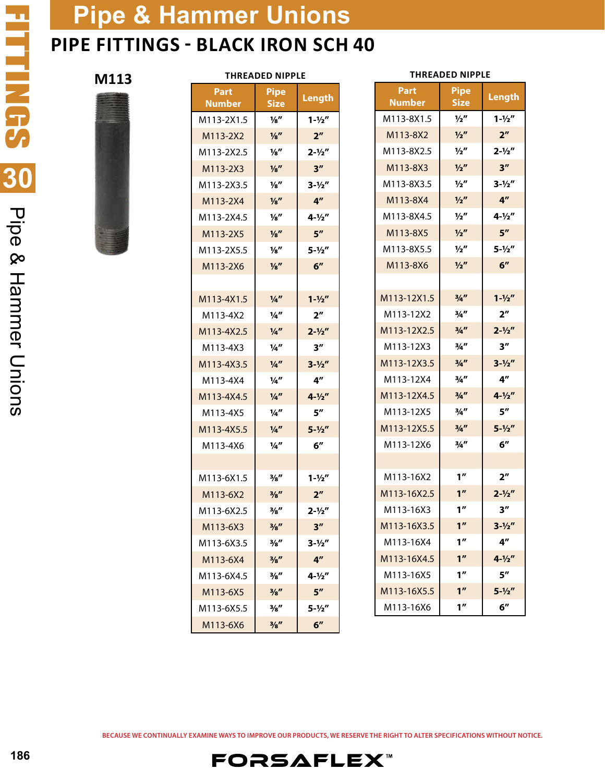## **Pipe & Hammer Unions PIPE FITTINGS - BLACK IRON SCH 40**

| M113 |                              | <b>THREADED NIPPLE</b>     |                   |                       | <b>THREADED NIPPLE</b>     |
|------|------------------------------|----------------------------|-------------------|-----------------------|----------------------------|
|      | <b>Part</b><br><b>Number</b> | <b>Pipe</b><br><b>Size</b> | Length            | Part<br><b>Number</b> | <b>Pipe</b><br><b>Size</b> |
|      | M113-2X1.5                   | $\frac{1}{8}$              | $1 - \frac{1}{2}$ | M113-8X1.5            | $\frac{1}{2}$              |
|      | M113-2X2                     | $\frac{1}{8}$              | 2 <sup>n</sup>    | M113-8X2              | $\frac{1}{2}$              |
|      | M113-2X2.5                   | $\frac{1}{8}$              | $2 - \frac{1}{2}$ | M113-8X2.5            | $\frac{1}{2}$              |
|      | M113-2X3                     | $\frac{1}{8}$              | 3''               | M113-8X3              | $\frac{1}{2}$              |
|      | M113-2X3.5                   | $\frac{1}{8}$              | $3 - \frac{1}{2}$ | M113-8X3.5            | $\frac{1}{2}$              |
|      | M113-2X4                     | $\frac{1}{8}$              | 4 <sup>''</sup>   | M113-8X4              | $\frac{1}{2}$              |
|      | M113-2X4.5                   | $\frac{1}{8}$              | $4 - \frac{1}{2}$ | M113-8X4.5            | $\frac{1}{2}$              |
|      | M113-2X5                     | $\frac{1}{8}$              | 5 <sup>''</sup>   | M113-8X5              | $\frac{1}{2}$              |
|      | M113-2X5.5                   | $\frac{1}{8}$              | $5 - \frac{1}{2}$ | M113-8X5.5            | $\frac{1}{2}$              |
|      | M113-2X6                     | $\frac{1}{8}$              | 6''               | M113-8X6              | $\frac{1}{2}$              |
|      |                              |                            |                   |                       |                            |
|      | M113-4X1.5                   | $\frac{1}{4}$              | $1 - \frac{1}{2}$ | M113-12X1.5           | 3/4''                      |
|      | M113-4X2                     | 1⁄4″                       | 2 <sup>n</sup>    | M113-12X2             | 3/4''                      |
|      | M113-4X2.5                   | $\frac{1}{4}$              | $2 - \frac{1}{2}$ | M113-12X2.5           | 3/4''                      |
|      | M113-4X3                     | $\frac{1}{4}$              | 3''               | M113-12X3             | 3/4''                      |
|      | M113-4X3.5                   | $\frac{1}{4}$              | $3 - \frac{1}{2}$ | M113-12X3.5           | 3/4                        |
|      | M113-4X4                     | $\frac{1}{4}$              | 4 <sup>''</sup>   | M113-12X4             | 3/4''                      |
|      | M113-4X4.5                   | $\frac{1}{4}$              | $4 - \frac{1}{2}$ | M113-12X4.5           | 3/4''                      |
|      | M113-4X5                     | $\frac{1}{4}$              | 5''               | M113-12X5             | 3/4''                      |
|      | M113-4X5.5                   | $\frac{1}{4}$              | $5 - \frac{1}{2}$ | M113-12X5.5           | 3/4                        |
|      | M113-4X6                     | $\frac{1}{4}$              | 6"                | M113-12X6             | 3/4''                      |
|      |                              |                            |                   |                       |                            |
|      | M113-6X1.5                   | 3/8″                       | $1 - \frac{1}{2}$ | M113-16X2             | 1 <sup>''</sup>            |
|      | M113-6X2                     | $\frac{3}{8}$ "            | 2 <sup>n</sup>    | M113-16X2.5           | 1 <sup>''</sup>            |
|      | M113-6X2.5                   | $\frac{3}{8}$ "            | $2 - \frac{1}{2}$ | M113-16X3             | 1 <sup>''</sup>            |
|      | M113-6X3                     | $\frac{3}{8}$ "            | 3 <sup>''</sup>   | M113-16X3.5           | 1 <sup>n</sup>             |
|      | M113-6X3.5                   | $\frac{3}{8}$ "            | $3 - \frac{1}{2}$ | M113-16X4             | 1 <sup>''</sup>            |
|      | M113-6X4                     | $\frac{3}{8}$ "            | 4 <sup>''</sup>   | M113-16X4.5           | 1 <sup>''</sup>            |
|      | M113-6X4.5                   | 3/8″                       | $4 - \frac{1}{2}$ | M113-16X5             | 1 <sup>''</sup>            |
|      | M113-6X5                     | $\frac{3}{8}$ "            | 5 <sup>''</sup>   | M113-16X5.5           | 1 <sup>''</sup>            |
|      | M113-6X5.5                   | 3⁄8″                       | $5 - \frac{1}{2}$ | M113-16X6             | 1 <sup>''</sup>            |
|      | M113-6X6                     | $\frac{3}{8}$ "            | 6"                |                       |                            |

| Part<br><b>Number</b> | <b>Pipe</b><br><b>Size</b> | Length            |
|-----------------------|----------------------------|-------------------|
| M113-8X1.5            | $\frac{1}{2}$              | $1 - \frac{1}{2}$ |
| M113-8X2              | 1/2''                      | 2 <sup>''</sup>   |
| M113-8X2.5            | $\frac{1}{2}$              | $2 - \frac{1}{2}$ |
| M113-8X3              | $\frac{1}{2}$              | 3''               |
| M113-8X3.5            | $\frac{1}{2}$              | $3 - \frac{1}{2}$ |
| M113-8X4              | $\frac{1}{2}$              | 4 <sup>''</sup>   |
| M113-8X4.5            | $\frac{1}{2}$              | $4 - \frac{1}{2}$ |
| M113-8X5              | $\frac{1}{2}$              | 5''               |
| M113-8X5.5            | $\frac{1}{2}$              | $5 - \frac{1}{2}$ |
| M113-8X6              | 1/2''                      | 6''               |
|                       |                            |                   |
| M113-12X1.5           | 3/4                        | $1 - \frac{1}{2}$ |
| M113-12X2             | $\frac{3}{4}$ "            | 2 <sup>n</sup>    |
| M113-12X2.5           | 3/4                        | $2 - \frac{1}{2}$ |
| M113-12X3             | 3/4''                      | 3″                |
| M113-12X3.5           | 3/4                        | $3 - \frac{1}{2}$ |
| M113-12X4             | 3/4''                      | 4"                |
| M113-12X4.5           | 3/4                        | $4 - \frac{1}{2}$ |
| M113-12X5             | 3/4''                      | 5"                |
| M113-12X5.5           | $\frac{3}{4}$ "            | $5 - \frac{1}{2}$ |
| M113-12X6             | $\frac{3}{4}$ "            | 6″                |
|                       |                            |                   |
| M113-16X2             | 1″                         | 2″                |
| M113-16X2.5           | 1 <sup>''</sup>            | $2 - \frac{1}{2}$ |
| M113-16X3             | 1''                        | 3''               |
| M113-16X3.5           | 1″                         | $3 - \frac{1}{2}$ |
| M113-16X4             | 1 <sup>''</sup>            | 4 <sup>''</sup>   |
| M113-16X4.5           | 1 <sup>''</sup>            | $4 - \frac{1}{2}$ |
| M113-16X5             | 1 <sup>''</sup>            | 5"                |
| M113-16X5.5           | 1''                        | $5 - \frac{1}{2}$ |
| M113-16X6             | 1''                        | 6''               |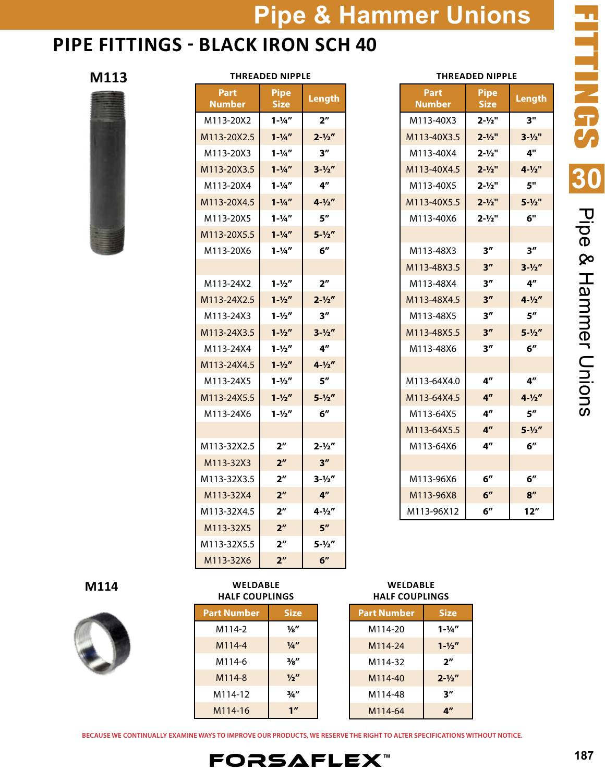### **PIPE FITTINGS - BLACK IRON SCH 40**



#### **THREADED NIPPLE**



| THREADED NIPPLE |                     |                    |  |
|-----------------|---------------------|--------------------|--|
| Part<br>Number  | Pipe<br><b>Size</b> | Length             |  |
| M113-20X2       | $1 - \frac{1}{4}$   | 2 <sup>n</sup>     |  |
| M113-20X2.5     | $1 - \frac{1}{4}$   | $2 - \frac{1}{2}$  |  |
| M113-20X3       | $1 - \frac{1}{4}$   | 3''                |  |
| M113-20X3.5     | $1 - \frac{1}{4}$   | $3 - \frac{1}{2}$  |  |
| M113-20X4       | $1 - \frac{1}{4}$   | 4 <sup>''</sup>    |  |
| M113-20X4.5     | $1 - \frac{1}{4}$   | $4 - \frac{1}{2}$  |  |
| M113-20X5       | $1 - \frac{1}{4}$   | 5''                |  |
| M113-20X5.5     | $1 - \frac{1}{4}$   | $5 - \frac{1}{2}$  |  |
| M113-20X6       | $1 - \frac{1}{4}$   | 6 <sup>''</sup>    |  |
|                 |                     |                    |  |
| M113-24X2       | $1 - \frac{1}{2}$   | 2 <sup>''</sup>    |  |
| M113-24X2.5     | $1 - \frac{1}{2}$   | $2 - \frac{1}{2}$  |  |
| M113-24X3       | $1 - \frac{1}{2}$   | 3''                |  |
| M113-24X3.5     | $1 - \frac{1}{2}$   | $3 - \frac{1}{2}$  |  |
| M113-24X4       | $1 - \frac{1}{2}$   | $4^{\prime\prime}$ |  |
| M113-24X4.5     | $1 - \frac{1}{2}$   | $4 - \frac{1}{2}$  |  |
| M113-24X5       | $1 - \frac{1}{2}$   | 5"                 |  |
| M113-24X5.5     | $1 - \frac{1}{2}$   | $5 - \frac{1}{2}$  |  |
| M113-24X6       | $1 - \frac{1}{2}$   | 6''                |  |
|                 |                     |                    |  |
| M113-32X2.5     | 2″                  | $2 - \frac{1}{2}$  |  |
| M113-32X3       | 2 <sup>n</sup>      | 3 <sup>''</sup>    |  |
| M113-32X3.5     | 2 <sup>''</sup>     | $3 - \frac{1}{2}$  |  |
| M113-32X4       | 2 <sup>n</sup>      | 4 <sup>n</sup>     |  |
| M113-32X4.5     | $2^{\prime\prime}$  | $4 - \frac{1}{2}$  |  |
| M113-32X5       | 2 <sup>''</sup>     | 5 <sup>''</sup>    |  |
| M113-32X5.5     | 2 <sup>''</sup>     | $5 - \frac{1}{2}$  |  |
| M113-32X6       | 2 <sup>n</sup>      | 6 <sup>''</sup>    |  |

### **THREADED NIPPLE**

| Part<br>Number | <b>Pipe</b><br><b>Size</b> | Length             |
|----------------|----------------------------|--------------------|
| M113-40X3      | $2 - \frac{1}{2}$          | 3"                 |
| M113-40X3.5    | $2 - \frac{1}{2}$          | $3 - \frac{1}{2}$  |
| M113-40X4      | $2 - \frac{1}{2}$          | 4"                 |
| M113-40X4.5    | $2 - \frac{1}{2}$          | $4 - \frac{1}{2}$  |
| M113-40X5      | $2 - \frac{1}{2}$          | 5"                 |
| M113-40X5.5    | $2 - \frac{1}{2}$          | $5 - \frac{1}{2}$  |
| M113-40X6      | $2 - \frac{1}{2}$          | б"                 |
|                |                            |                    |
| M113-48X3      | 3''                        | 3″                 |
| M113-48X3.5    | 3″                         | $3 - \frac{1}{2}$  |
| M113-48X4      | 3''                        | $4^{\prime\prime}$ |
| M113-48X4.5    | 3''                        | $4 - \frac{1}{2}$  |
| M113-48X5      | 3''                        | $5^{\prime\prime}$ |
| M113-48X5.5    | 3''                        | $5 - \frac{1}{2}$  |
| M113-48X6      | 3″                         | 6''                |
|                |                            |                    |
| M113-64X4.0    | 4″                         | 4"                 |
| M113-64X4.5    | 4 <sup>''</sup>            | $4 - \frac{1}{2}$  |
| M113-64X5      | 4"                         | $5^{\prime\prime}$ |
| M113-64X5.5    | 4"                         | $5 - \frac{1}{2}$  |
| M113-64X6      | 4″                         | 6''                |
|                |                            |                    |
| M113-96X6      | $6^{\prime\prime}$         | 6″                 |
| M113-96X8      | 6''                        | 8''                |
| M113-96X12     | 6''                        | 12″                |

### **M114**



**WELDABLE HALF COUPLINGS**

| <b>Part Number</b> | <b>Size</b>     |
|--------------------|-----------------|
| M114-2             | 1⁄8″            |
| M114-4             | $\frac{1}{4}$   |
| M114-6             | $\frac{3}{8}$   |
| M114-8             | $\frac{1}{2}$   |
| M114-12            | $\frac{3}{4}$ " |
| M114-16            | 1 <sup>II</sup> |

**WELDABLE HALF COUPLINGS**

| <b>Part Number</b> | <b>Size</b>        |
|--------------------|--------------------|
| M114-20            | $1 - \frac{1}{4}$  |
| M114-24            | $1 - \frac{1}{2}$  |
| M114-32            | $2^{\prime\prime}$ |
| M114-40            | $2 - \frac{1}{2}$  |
| M114-48            | יי ד               |
| M114-64            | 4″                 |

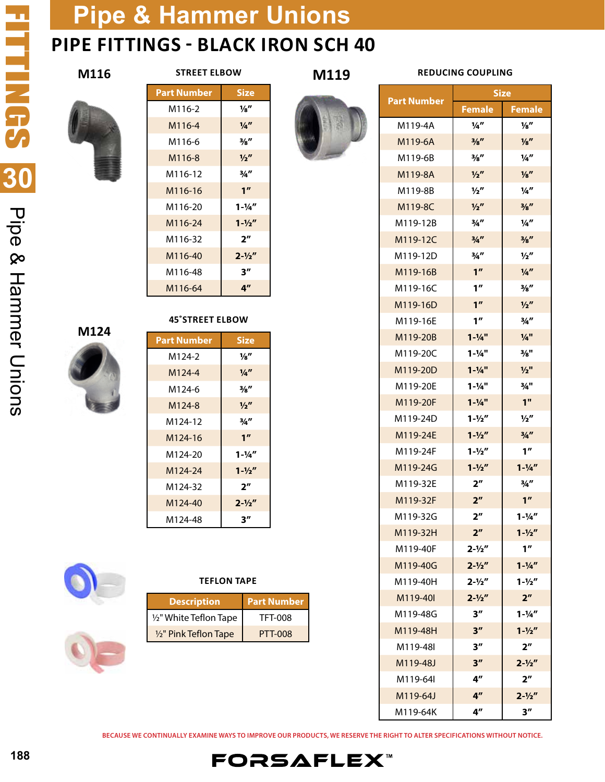

**M116**

| <b>STREET ELBOW</b> |  |
|---------------------|--|
|---------------------|--|

**M119** 

### **REDUCING COUPLING**



**M124**

| Part Number | <b>Size</b>       |
|-------------|-------------------|
| M116-2      | 1⁄8″              |
| M116-4      | $\frac{1}{4}$     |
| M116-6      | $\frac{3}{8}$ "   |
| M116-8      | $\frac{1}{2}$     |
| M116-12     | 3/4''             |
| M116-16     | 1 <sup>''</sup>   |
| M116-20     | $1 - \frac{1}{4}$ |
| M116-24     | $1 - \frac{1}{2}$ |
| M116-32     | 2 <sup>n</sup>    |
| M116-40     | $2 - \frac{1}{2}$ |
| M116-48     | 3″                |
| M116-64     | 4 <sup>n</sup>    |



| <b>Part Number</b>  | <b>Size</b>        |
|---------------------|--------------------|
| M124-2              | ¼″                 |
| M124-4              | $\frac{1}{4}$      |
| M124-6              | $\frac{3}{8}$ "    |
| M124-8              | $\frac{1}{2}$      |
| M124-12             | 3/4″               |
| M <sub>124-16</sub> | 1 <sup>''</sup>    |
| M124-20             | $1 - \frac{1}{4}$  |
| M124-24             | $1 - \frac{1}{2}$  |
| M124-32             | $2^{\prime\prime}$ |
| M124-40             | $2 - \frac{1}{2}$  |
| M124-48             | $3^{\prime\prime}$ |



#### **TEFLON TAPE**

| <b>Description</b>     | <b>Part Number</b> |
|------------------------|--------------------|
| 1/2" White Teflon Tape | TFT-008            |
| 1/2" Pink Teflon Tape  | PTT-008            |



| M119-6A  | $^{3}/_{8}$         | $\frac{1}{8}$      |
|----------|---------------------|--------------------|
| M119-6B  | $\frac{3}{8}$ "     | $\frac{1}{4}$      |
| M119-8A  | $\frac{1}{2}$       | $\frac{1}{8}$      |
| M119-8B  | $\frac{1}{2}$       | 1⁄4″               |
| M119-8C  | $\frac{1}{2}$       | $\frac{3}{8}$ "    |
| M119-12B | 3/4''               | $\frac{1}{4}$      |
| M119-12C | 3/4                 | $\frac{3}{8}$ "    |
| M119-12D | 3/4''               | $\frac{1}{2}$      |
| M119-16B | 1 <sup>''</sup>     | $\frac{1}{4}$      |
| M119-16C | 1 <sup>''</sup>     | $\frac{3}{8}$ "    |
| M119-16D | 1 <sup>''</sup>     | $\frac{1}{2}$      |
| M119-16E | 1''                 | 3/4''              |
| M119-20B | $1 - \frac{1}{4}$   | $\frac{1}{4}$ "    |
| M119-20C | $1 - \frac{1}{4}$   | 3/8"               |
| M119-20D | $1 - \frac{1}{4}$   | $1/2$ "            |
| M119-20F | $1 - \frac{1}{4}$ " | $\frac{3}{4}$ "    |
| M119-20F | $1 - \frac{1}{4}$   | 1 <sup>''</sup>    |
| M119-24D | $1 - \frac{1}{2}$   | $\frac{1}{2}$      |
| M119-24E | $1 - \frac{1}{2}$   | 3/4''              |
| M119-24F | $1 - \frac{1}{2}$   | 1 <sup>''</sup>    |
| M119-24G | $1 - \frac{1}{2}$   | $1 - \frac{1}{4}$  |
| M119-32E | 2 <sup>''</sup>     | $\frac{3}{4}$ "    |
| M119-32F | 2 <sup>n</sup>      | 1 <sup>''</sup>    |
| M119-32G | 2 <sup>''</sup>     | $1 - \frac{1}{4}$  |
| M119-32H | 2 <sup>n</sup>      | $1 - \frac{1}{2}$  |
| M119-40F | $2 - \frac{1}{2}$   | 1''                |
| M119-40G | $2 - \frac{1}{2}$   | $1 - \frac{1}{4}$  |
| M119-40H | $2 - \frac{1}{2}$   | $1 - \frac{1}{2}$  |
| M119-40I | $2 - \frac{1}{2}$   | 2 <sup>n</sup>     |
| M119-48G | 3''                 | $1 - \frac{1}{4}$  |
| M119-48H | 3''                 | $1 - \frac{1}{2}$  |
| M119-48I | 3″                  | 2 <sup>''</sup>    |
| M119-48J | 3''                 | $2 - \frac{1}{2}$  |
| M119-64I | 4"                  | 2 <sup>n</sup>     |
| M119-64J | 4 <sup>''</sup>     | $2 - \frac{1}{2}$  |
| M119-64K | 4″                  | $3^{\prime\prime}$ |

**BECAUSE WE CONTINUALLY EXAMINE WAYS TO IMPROVE OUR PRODUCTS, WE RESERVE THE RIGHT TO ALTER SPECIFICATIONS WITHOUT NOTICE.**

**FORSAFLEX**™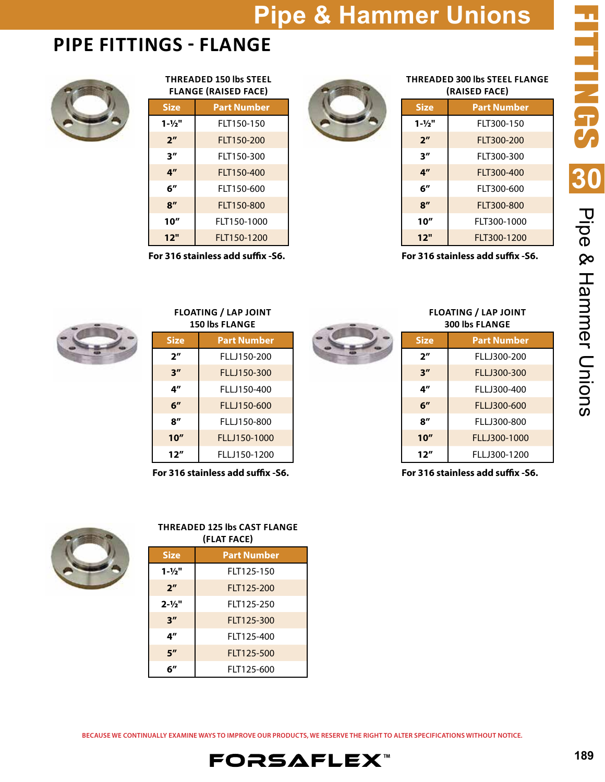### **PIPE FITTINGS - FLANGE**



#### **THREADED 150 lbs STEEL FLANGE (RAISED FACE)**

| <b>Size</b>        | <b>Part Number</b> |  |
|--------------------|--------------------|--|
| $1 - \frac{1}{2}$  | FLT150-150         |  |
| 2 <sup>n</sup>     | FLT150-200         |  |
| 3''                | FLT150-300         |  |
| $4^{\prime\prime}$ | FLT150-400         |  |
| 6″                 | FIT150-600         |  |
| $\mathbf{R}''$     | FLT150-800         |  |
| 10''               | FLT150-1000        |  |
| 12"                | FLT150-1200        |  |
|                    |                    |  |

**For 316 stainless add suffix -S6.**

### **THREADED 300 lbs STEEL FLANGE (RAISED FACE)**

| Size              | <b>Part Number</b> |
|-------------------|--------------------|
| $1 - \frac{1}{2}$ | FIT300-150         |
| 2 <sup>n</sup>    | FLT300-200         |
| 3''               | FIT300-300         |
| 4"                | FIT300-400         |
| 6″                | FIT300-600         |
| 8''               | FLT300-800         |
| 10"               | FLT300-1000        |
| 12"               | FLT300-1200        |
|                   | ٠<br>п<br>. .      |

**For 316 stainless add suffix -S6.**



#### **FLOATING / LAP JOINT 150 lbs FLANGE**

| Size           | <b>Part Number</b> |  |
|----------------|--------------------|--|
| 2 <sup>n</sup> | FLLJ150-200        |  |
| 3''            | FLLJ150-300        |  |
| 4″             | FI I J150-400      |  |
| 6″             | FLLJ150-600        |  |
| ייפ            | FLLJ150-800        |  |
| 10''           | FLLJ150-1000       |  |
| 12''           | FLLJ150-1200       |  |

**For 316 stainless add suffix -S6.**



| <b>FLOATING / LAP JOINT</b> |  |
|-----------------------------|--|
| <b>300 lbs FLANGE</b>       |  |

| <b>Size</b>    | <b>Part Number</b> |
|----------------|--------------------|
| 2 <sup>n</sup> | FLLJ300-200        |
| 3''            | FLLJ300-300        |
| 4″             | FLLJ300-400        |
| 6''            | FLLJ300-600        |
| ጸ"             | FLLJ300-800        |
| 10''           | FLLJ300-1000       |
| 12''           | FLLJ300-1200       |

**For 316 stainless add suffix -S6.**



### **THREADED 125 lbs CAST FLANGE (FLAT FACE)**

| ITLAI TALEJ       |             |  |
|-------------------|-------------|--|
| <b>Size</b>       | Part Number |  |
| $1 - \frac{1}{2}$ | FLT125-150  |  |
| 2 <sup>n</sup>    | FLT125-200  |  |
| $2 - \frac{1}{2}$ | FLT125-250  |  |
| 3''               | FLT125-300  |  |
| 4″                | FLT125-400  |  |
| 5''               | FLT125-500  |  |
| б"                | FLT125-600  |  |

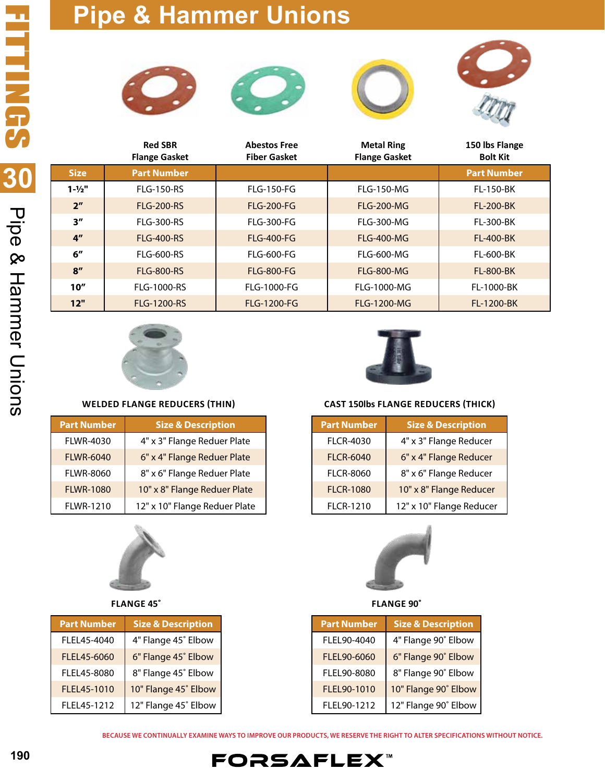







|                   | <b>Red SBR</b><br><b>Flange Gasket</b> | <b>Abestos Free</b><br><b>Fiber Gasket</b> | <b>Metal Ring</b><br><b>Flange Gasket</b> | 150 lbs Flange<br><b>Bolt Kit</b> |
|-------------------|----------------------------------------|--------------------------------------------|-------------------------------------------|-----------------------------------|
| <b>Size</b>       | <b>Part Number</b>                     |                                            |                                           | <b>Part Number</b>                |
| $1 - \frac{1}{2}$ | FI G-150-RS                            | $FI$ G-150-FG                              | $FI$ G-150-MG                             | <b>FL-150-BK</b>                  |
| 2 <sup>''</sup>   | <b>FIG-200-RS</b>                      | <b>FLG-200-FG</b>                          | <b>FLG-200-MG</b>                         | <b>FL-200-BK</b>                  |
| 3''               | <b>FLG-300-RS</b>                      | <b>FLG-300-FG</b>                          | <b>FLG-300-MG</b>                         | <b>FL-300-BK</b>                  |
| 4 <sup>''</sup>   | <b>FLG-400-RS</b>                      | <b>FLG-400-FG</b>                          | <b>FLG-400-MG</b>                         | <b>FL-400-BK</b>                  |
| 6''               | <b>FLG-600-RS</b>                      | FI G-600-FG                                | <b>FLG-600-MG</b>                         | <b>FL-600-BK</b>                  |
| 8''               | <b>FLG-800-RS</b>                      | <b>FLG-800-FG</b>                          | <b>FLG-800-MG</b>                         | <b>FL-800-BK</b>                  |
| 10''              | <b>FLG-1000-RS</b>                     | <b>FLG-1000-FG</b>                         | <b>FLG-1000-MG</b>                        | FL-1000-BK                        |
| 12"               | <b>FLG-1200-RS</b>                     | <b>FLG-1200-FG</b>                         | <b>FLG-1200-MG</b>                        | FL-1200-BK                        |



### **WELDED FLANGE REDUCERS (THIN)**

| <b>Part Number</b> | <b>Size &amp; Description</b> |
|--------------------|-------------------------------|
| <b>FLWR-4030</b>   | 4" x 3" Flange Reduer Plate   |
| <b>FLWR-6040</b>   | 6" x 4" Flange Reduer Plate   |
| <b>FLWR-8060</b>   | 8" x 6" Flange Reduer Plate   |
| <b>FLWR-1080</b>   | 10" x 8" Flange Reduer Plate  |
| FLWR-1210          | 12" x 10" Flange Reduer Plate |



### **FLANGE 45˚**

| <b>Part Number</b> | <b>Size &amp; Description</b> |
|--------------------|-------------------------------|
| FLEL45-4040        | 4" Flange 45° Elbow           |
| FLEL45-6060        | 6" Flange 45° Elbow           |
| FLEL45-8080        | 8" Flange 45° Elbow           |
| FLEL45-1010        | 10" Flange 45° Elbow          |
| FLEL45-1212        | 12" Flange 45° Elbow          |



### **CAST 150lbs FLANGE REDUCERS (THICK)**

| <b>Part Number</b> | <b>Size &amp; Description</b> |
|--------------------|-------------------------------|
| <b>FLCR-4030</b>   | 4" x 3" Flange Reducer        |
| <b>FLCR-6040</b>   | 6" x 4" Flange Reducer        |
| <b>FLCR-8060</b>   | 8" x 6" Flange Reducer        |
| <b>FLCR-1080</b>   | 10" x 8" Flange Reducer       |
| <b>FLCR-1210</b>   | 12" x 10" Flange Reducer      |



### **FLANGE 90˚**

| <b>Part Number</b> | <b>Size &amp; Description</b> |
|--------------------|-------------------------------|
| FLEL90-4040        | 4" Flange 90° Elbow           |
| FLEL90-6060        | 6" Flange 90° Elbow           |
| FLEL90-8080        | 8" Flange 90° Elbow           |
| FLEL90-1010        | 10" Flange 90° Elbow          |
| FLEL90-1212        | 12" Flange 90° Elbow          |